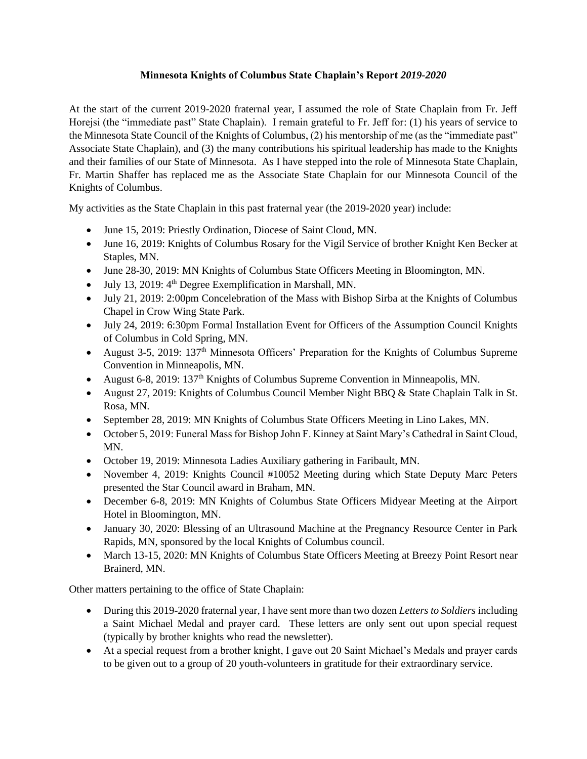## **Minnesota Knights of Columbus State Chaplain's Report** *2019-2020*

At the start of the current 2019-2020 fraternal year, I assumed the role of State Chaplain from Fr. Jeff Horejsi (the "immediate past" State Chaplain). I remain grateful to Fr. Jeff for: (1) his years of service to the Minnesota State Council of the Knights of Columbus, (2) his mentorship of me (as the "immediate past" Associate State Chaplain), and (3) the many contributions his spiritual leadership has made to the Knights and their families of our State of Minnesota. As I have stepped into the role of Minnesota State Chaplain, Fr. Martin Shaffer has replaced me as the Associate State Chaplain for our Minnesota Council of the Knights of Columbus.

My activities as the State Chaplain in this past fraternal year (the 2019-2020 year) include:

- June 15, 2019: Priestly Ordination, Diocese of Saint Cloud, MN.
- June 16, 2019: Knights of Columbus Rosary for the Vigil Service of brother Knight Ken Becker at Staples, MN.
- June 28-30, 2019: MN Knights of Columbus State Officers Meeting in Bloomington, MN.
- July 13, 2019: 4<sup>th</sup> Degree Exemplification in Marshall, MN.
- July 21, 2019: 2:00pm Concelebration of the Mass with Bishop Sirba at the Knights of Columbus Chapel in Crow Wing State Park.
- July 24, 2019: 6:30pm Formal Installation Event for Officers of the Assumption Council Knights of Columbus in Cold Spring, MN.
- August 3-5, 2019: 137<sup>th</sup> Minnesota Officers' Preparation for the Knights of Columbus Supreme Convention in Minneapolis, MN.
- August 6-8, 2019: 137<sup>th</sup> Knights of Columbus Supreme Convention in Minneapolis, MN.
- August 27, 2019: Knights of Columbus Council Member Night BBQ & State Chaplain Talk in St. Rosa, MN.
- September 28, 2019: MN Knights of Columbus State Officers Meeting in Lino Lakes, MN.
- October 5, 2019: Funeral Mass for Bishop John F. Kinney at Saint Mary's Cathedral in Saint Cloud, MN.
- October 19, 2019: Minnesota Ladies Auxiliary gathering in Faribault, MN.
- November 4, 2019: Knights Council #10052 Meeting during which State Deputy Marc Peters presented the Star Council award in Braham, MN.
- December 6-8, 2019: MN Knights of Columbus State Officers Midyear Meeting at the Airport Hotel in Bloomington, MN.
- January 30, 2020: Blessing of an Ultrasound Machine at the Pregnancy Resource Center in Park Rapids, MN, sponsored by the local Knights of Columbus council.
- March 13-15, 2020: MN Knights of Columbus State Officers Meeting at Breezy Point Resort near Brainerd, MN.

Other matters pertaining to the office of State Chaplain:

- During this 2019-2020 fraternal year, I have sent more than two dozen *Letters to Soldiers* including a Saint Michael Medal and prayer card. These letters are only sent out upon special request (typically by brother knights who read the newsletter).
- At a special request from a brother knight, I gave out 20 Saint Michael's Medals and prayer cards to be given out to a group of 20 youth-volunteers in gratitude for their extraordinary service.